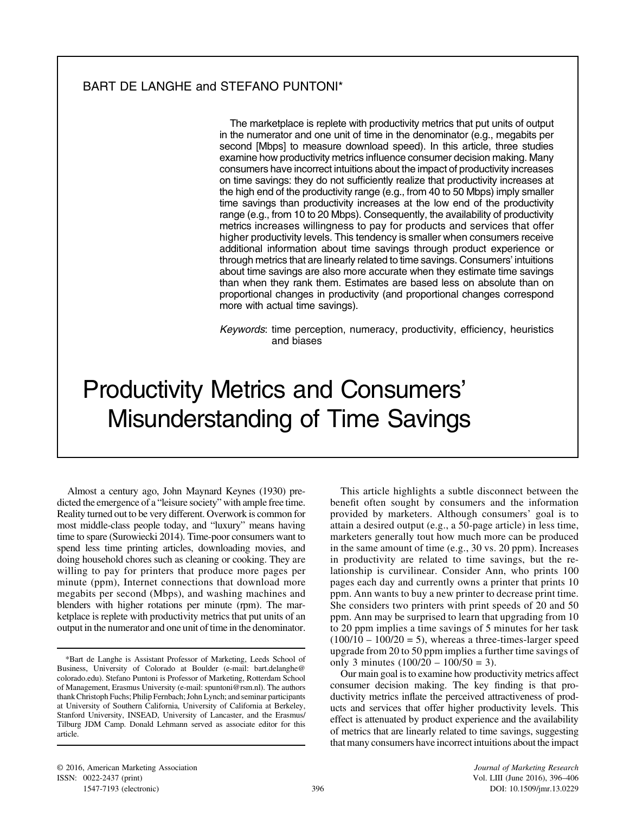# BART DE LANGHE and STEFANO PUNTONI\*

The marketplace is replete with productivity metrics that put units of output in the numerator and one unit of time in the denominator (e.g., megabits per second [Mbps] to measure download speed). In this article, three studies examine how productivity metrics influence consumer decision making. Many consumers have incorrect intuitions about the impact of productivity increases on time savings: they do not sufficiently realize that productivity increases at the high end of the productivity range (e.g., from 40 to 50 Mbps) imply smaller time savings than productivity increases at the low end of the productivity range (e.g., from 10 to 20 Mbps). Consequently, the availability of productivity metrics increases willingness to pay for products and services that offer higher productivity levels. This tendency is smaller when consumers receive additional information about time savings through product experience or through metrics that are linearly related to time savings. Consumers' intuitions about time savings are also more accurate when they estimate time savings than when they rank them. Estimates are based less on absolute than on proportional changes in productivity (and proportional changes correspond more with actual time savings).

Keywords: time perception, numeracy, productivity, efficiency, heuristics and biases

# Productivity Metrics and Consumers' Misunderstanding of Time Savings

Almost a century ago, John Maynard Keynes (1930) predicted the emergence of a "leisure society" with ample free time. Reality turned out to be very different. Overwork is common for most middle-class people today, and "luxury" means having time to spare (Surowiecki 2014). Time-poor consumers want to spend less time printing articles, downloading movies, and doing household chores such as cleaning or cooking. They are willing to pay for printers that produce more pages per minute (ppm), Internet connections that download more megabits per second (Mbps), and washing machines and blenders with higher rotations per minute (rpm). The marketplace is replete with productivity metrics that put units of an output in the numerator and one unit of time in the denominator.

This article highlights a subtle disconnect between the benefit often sought by consumers and the information provided by marketers. Although consumers' goal is to attain a desired output (e.g., a 50-page article) in less time, marketers generally tout how much more can be produced in the same amount of time (e.g., 30 vs. 20 ppm). Increases in productivity are related to time savings, but the relationship is curvilinear. Consider Ann, who prints 100 pages each day and currently owns a printer that prints 10 ppm. Ann wants to buy a new printer to decrease print time. She considers two printers with print speeds of 20 and 50 ppm. Ann may be surprised to learn that upgrading from 10 to 20 ppm implies a time savings of 5 minutes for her task  $(100/10 - 100/20 = 5)$ , whereas a three-times-larger speed upgrade from 20 to 50 ppm implies a further time savings of only 3 minutes  $(100/20 - 100/50 = 3)$ .

Our main goal is to examine how productivity metrics affect consumer decision making. The key finding is that productivity metrics inflate the perceived attractiveness of products and services that offer higher productivity levels. This effect is attenuated by product experience and the availability of metrics that are linearly related to time savings, suggesting that many consumers have incorrect intuitions about the impact

<sup>\*</sup>Bart de Langhe is Assistant Professor of Marketing, Leeds School of Business, University of Colorado at Boulder (e-mail: [bart.delanghe@](mailto:bart.delanghe@colorado.edu) [colorado.edu](mailto:bart.delanghe@colorado.edu)). Stefano Puntoni is Professor of Marketing, Rotterdam School of Management, Erasmus University (e-mail: [spuntoni@rsm.nl\)](mailto:spuntoni@rsm.nl). The authors thank Christoph Fuchs; Philip Fernbach; John Lynch; and seminar participants at University of Southern California, University of California at Berkeley, Stanford University, INSEAD, University of Lancaster, and the Erasmus/ Tilburg JDM Camp. Donald Lehmann served as associate editor for this article.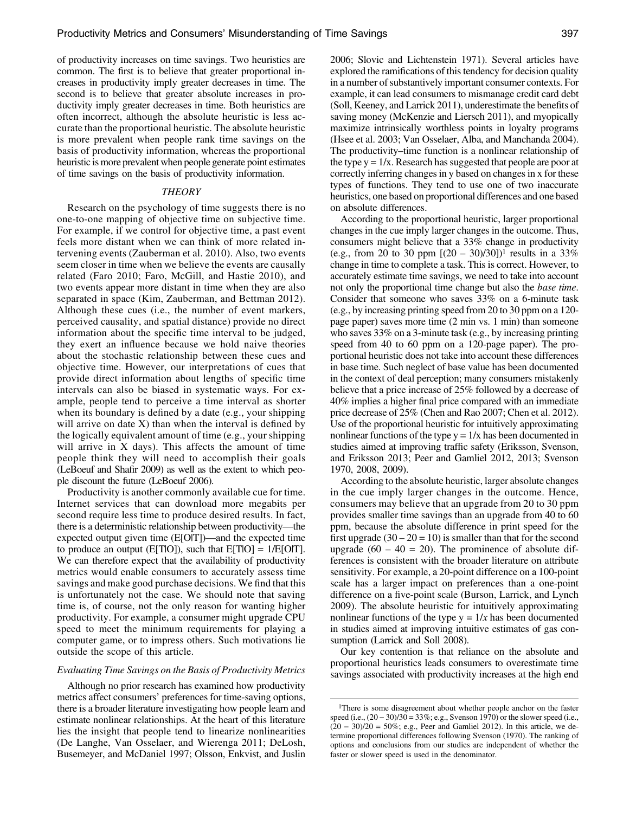of productivity increases on time savings. Two heuristics are common. The first is to believe that greater proportional increases in productivity imply greater decreases in time. The second is to believe that greater absolute increases in productivity imply greater decreases in time. Both heuristics are often incorrect, although the absolute heuristic is less accurate than the proportional heuristic. The absolute heuristic is more prevalent when people rank time savings on the basis of productivity information, whereas the proportional heuristic is more prevalent when people generate point estimates of time savings on the basis of productivity information.

# **THEORY**

Research on the psychology of time suggests there is no one-to-one mapping of objective time on subjective time. For example, if we control for objective time, a past event feels more distant when we can think of more related intervening events (Zauberman et al. 2010). Also, two events seem closer in time when we believe the events are causally related (Faro 2010; Faro, McGill, and Hastie 2010), and two events appear more distant in time when they are also separated in space (Kim, Zauberman, and Bettman 2012). Although these cues (i.e., the number of event markers, perceived causality, and spatial distance) provide no direct information about the specific time interval to be judged, they exert an influence because we hold naive theories about the stochastic relationship between these cues and objective time. However, our interpretations of cues that provide direct information about lengths of specific time intervals can also be biased in systematic ways. For example, people tend to perceive a time interval as shorter when its boundary is defined by a date (e.g., your shipping will arrive on date  $X$ ) than when the interval is defined by the logically equivalent amount of time (e.g., your shipping will arrive in  $X$  days). This affects the amount of time people think they will need to accomplish their goals (LeBoeuf and Shafir 2009) as well as the extent to which people discount the future (LeBoeuf 2006).

Productivity is another commonly available cue for time. Internet services that can download more megabits per second require less time to produce desired results. In fact, there is a deterministic relationship between productivity—the expected output given time (E[O|T])—and the expected time to produce an output (E[T|O]), such that  $E[T|O] = 1/E[O|T]$ . We can therefore expect that the availability of productivity metrics would enable consumers to accurately assess time savings and make good purchase decisions. We find that this is unfortunately not the case. We should note that saving time is, of course, not the only reason for wanting higher productivity. For example, a consumer might upgrade CPU speed to meet the minimum requirements for playing a computer game, or to impress others. Such motivations lie outside the scope of this article.

# Evaluating Time Savings on the Basis of Productivity Metrics

Although no prior research has examined how productivity metrics affect consumers' preferences for time-saving options, there is a broader literature investigating how people learn and estimate nonlinear relationships. At the heart of this literature lies the insight that people tend to linearize nonlinearities (De Langhe, Van Osselaer, and Wierenga 2011; DeLosh, Busemeyer, and McDaniel 1997; Olsson, Enkvist, and Juslin

2006; Slovic and Lichtenstein 1971). Several articles have explored the ramifications of this tendency for decision quality in a number of substantively important consumer contexts. For example, it can lead consumers to mismanage credit card debt (Soll, Keeney, and Larrick 2011), underestimate the benefits of saving money (McKenzie and Liersch 2011), and myopically maximize intrinsically worthless points in loyalty programs (Hsee et al. 2003; Van Osselaer, Alba, and Manchanda 2004). The productivity–time function is a nonlinear relationship of the type  $y = 1/x$ . Research has suggested that people are poor at correctly inferring changes in y based on changes in x for these types of functions. They tend to use one of two inaccurate heuristics, one based on proportional differences and one based on absolute differences.

According to the proportional heuristic, larger proportional changes in the cue imply larger changes in the outcome. Thus, consumers might believe that a 33% change in productivity (e.g., from 20 to 30 ppm  $[(20 - 30)/30])^{1}$  results in a 33% change in time to complete a task. This is correct. However, to accurately estimate time savings, we need to take into account not only the proportional time change but also the base time. Consider that someone who saves 33% on a 6-minute task (e.g., by increasing printing speed from 20 to 30 ppm on a 120 page paper) saves more time (2 min vs. 1 min) than someone who saves 33% on a 3-minute task (e.g., by increasing printing speed from 40 to 60 ppm on a 120-page paper). The proportional heuristic does not take into account these differences in base time. Such neglect of base value has been documented in the context of deal perception; many consumers mistakenly believe that a price increase of 25% followed by a decrease of 40% implies a higher final price compared with an immediate price decrease of 25% (Chen and Rao 2007; Chen et al. 2012). Use of the proportional heuristic for intuitively approximating nonlinear functions of the type  $y = 1/x$  has been documented in studies aimed at improving traffic safety (Eriksson, Svenson, and Eriksson 2013; Peer and Gamliel 2012, 2013; Svenson 1970, 2008, 2009).

According to the absolute heuristic, larger absolute changes in the cue imply larger changes in the outcome. Hence, consumers may believe that an upgrade from 20 to 30 ppm provides smaller time savings than an upgrade from 40 to 60 ppm, because the absolute difference in print speed for the first upgrade  $(30 - 20 = 10)$  is smaller than that for the second upgrade  $(60 - 40 = 20)$ . The prominence of absolute differences is consistent with the broader literature on attribute sensitivity. For example, a 20-point difference on a 100-point scale has a larger impact on preferences than a one-point difference on a five-point scale (Burson, Larrick, and Lynch 2009). The absolute heuristic for intuitively approximating nonlinear functions of the type  $y = 1/x$  has been documented in studies aimed at improving intuitive estimates of gas consumption (Larrick and Soll 2008).

Our key contention is that reliance on the absolute and proportional heuristics leads consumers to overestimate time savings associated with productivity increases at the high end

<sup>&</sup>lt;sup>1</sup>There is some disagreement about whether people anchor on the faster There is some disagreement about whether people anchor on the faster<br>speed (i.e., (20 − 30)/30 = 33%; e.g., Svenson 1970) or the slower speed (i.e., There is some disagreement about whether people anchor on the faster speed (i.e.,  $(20 - 30)/30 = 33\%$ ; e.g., Svenson 1970) or the slower speed (i.e.,  $(20 - 30)/20 = 50\%$ ; e.g., Peer and Gamliel 2012). In this article, we de termine proportional differences following Svenson (1970). The ranking of options and conclusions from our studies are independent of whether the faster or slower speed is used in the denominator.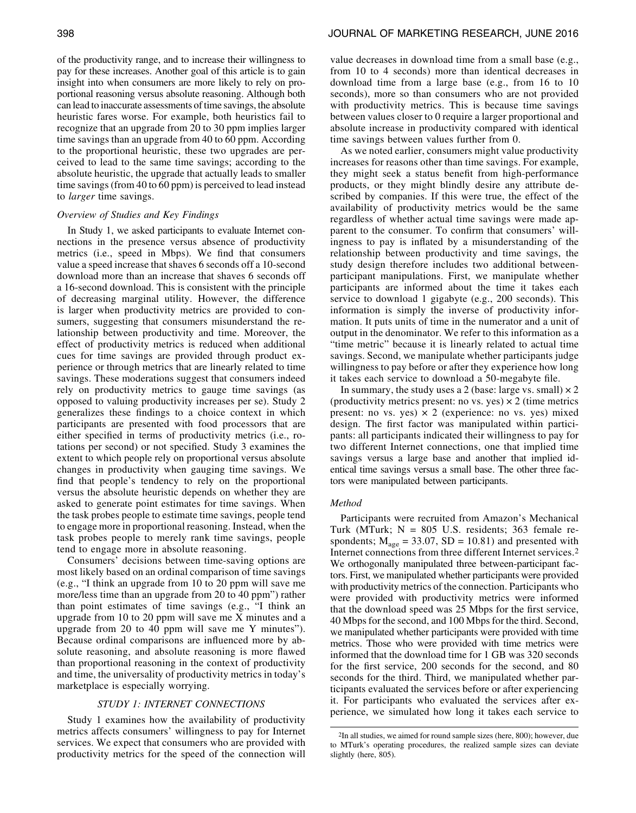of the productivity range, and to increase their willingness to pay for these increases. Another goal of this article is to gain insight into when consumers are more likely to rely on proportional reasoning versus absolute reasoning. Although both can lead to inaccurate assessments of time savings, the absolute heuristic fares worse. For example, both heuristics fail to recognize that an upgrade from 20 to 30 ppm implies larger time savings than an upgrade from 40 to 60 ppm. According to the proportional heuristic, these two upgrades are perceived to lead to the same time savings; according to the absolute heuristic, the upgrade that actually leads to smaller time savings (from 40 to 60 ppm) is perceived to lead instead to larger time savings.

# Overview of Studies and Key Findings

In Study 1, we asked participants to evaluate Internet connections in the presence versus absence of productivity metrics (i.e., speed in Mbps). We find that consumers value a speed increase that shaves 6 seconds off a 10-second download more than an increase that shaves 6 seconds off a 16-second download. This is consistent with the principle of decreasing marginal utility. However, the difference is larger when productivity metrics are provided to consumers, suggesting that consumers misunderstand the relationship between productivity and time. Moreover, the effect of productivity metrics is reduced when additional cues for time savings are provided through product experience or through metrics that are linearly related to time savings. These moderations suggest that consumers indeed rely on productivity metrics to gauge time savings (as opposed to valuing productivity increases per se). Study 2 generalizes these findings to a choice context in which participants are presented with food processors that are either specified in terms of productivity metrics (i.e., rotations per second) or not specified. Study 3 examines the extent to which people rely on proportional versus absolute changes in productivity when gauging time savings. We find that people's tendency to rely on the proportional versus the absolute heuristic depends on whether they are asked to generate point estimates for time savings. When the task probes people to estimate time savings, people tend to engage more in proportional reasoning. Instead, when the task probes people to merely rank time savings, people tend to engage more in absolute reasoning.

Consumers' decisions between time-saving options are most likely based on an ordinal comparison of time savings (e.g., "I think an upgrade from 10 to 20 ppm will save me more/less time than an upgrade from 20 to 40 ppm") rather than point estimates of time savings (e.g., "I think an upgrade from 10 to 20 ppm will save me X minutes and a upgrade from 20 to 40 ppm will save me Y minutes"). Because ordinal comparisons are influenced more by absolute reasoning, and absolute reasoning is more flawed than proportional reasoning in the context of productivity and time, the universality of productivity metrics in today's marketplace is especially worrying.

# STUDY 1: INTERNET CONNECTIONS

Study 1 examines how the availability of productivity metrics affects consumers' willingness to pay for Internet services. We expect that consumers who are provided with productivity metrics for the speed of the connection will

value decreases in download time from a small base (e.g., from 10 to 4 seconds) more than identical decreases in download time from a large base (e.g., from 16 to 10 seconds), more so than consumers who are not provided with productivity metrics. This is because time savings between values closer to 0 require a larger proportional and absolute increase in productivity compared with identical time savings between values further from 0.

As we noted earlier, consumers might value productivity increases for reasons other than time savings. For example, they might seek a status benefit from high-performance products, or they might blindly desire any attribute described by companies. If this were true, the effect of the availability of productivity metrics would be the same regardless of whether actual time savings were made apparent to the consumer. To confirm that consumers' willingness to pay is inflated by a misunderstanding of the relationship between productivity and time savings, the study design therefore includes two additional betweenparticipant manipulations. First, we manipulate whether participants are informed about the time it takes each service to download 1 gigabyte (e.g., 200 seconds). This information is simply the inverse of productivity information. It puts units of time in the numerator and a unit of output in the denominator. We refer to this information as a "time metric" because it is linearly related to actual time savings. Second, we manipulate whether participants judge willingness to pay before or after they experience how long it takes each service to download a 50-megabyte file.

In summary, the study uses a 2 (base: large vs. small)  $\times$  2 (productivity metrics present: no vs. yes)  $\times$  2 (time metrics present: no vs. yes)  $\times$  2 (experience: no vs. yes) mixed design. The first factor was manipulated within participants: all participants indicated their willingness to pay for two different Internet connections, one that implied time savings versus a large base and another that implied identical time savings versus a small base. The other three factors were manipulated between participants.

#### Method

Participants were recruited from Amazon's Mechanical Turk (MTurk;  $N = 805$  U.S. residents; 363 female respondents;  $M_{\text{age}} = 33.07$ ,  $SD = 10.81$ ) and presented with Internet connections from three different Internet services.2 We orthogonally manipulated three between-participant factors. First, we manipulated whether participants were provided with productivity metrics of the connection. Participants who were provided with productivity metrics were informed that the download speed was 25 Mbps for the first service, 40 Mbps for the second, and 100 Mbps for the third. Second, we manipulated whether participants were provided with time metrics. Those who were provided with time metrics were informed that the download time for 1 GB was 320 seconds for the first service, 200 seconds for the second, and 80 seconds for the third. Third, we manipulated whether participants evaluated the services before or after experiencing it. For participants who evaluated the services after experience, we simulated how long it takes each service to

<sup>2</sup>In all studies, we aimed for round sample sizes (here, 800); however, due to MTurk's operating procedures, the realized sample sizes can deviate slightly (here, 805).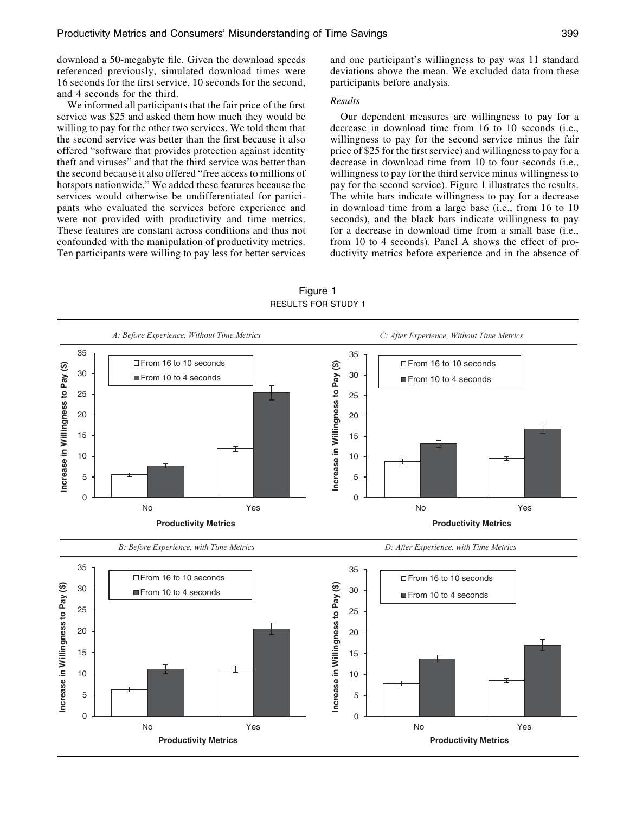download a 50-megabyte file. Given the download speeds referenced previously, simulated download times were 16 seconds for the first service, 10 seconds for the second, and 4 seconds for the third.

We informed all participants that the fair price of the first service was \$25 and asked them how much they would be willing to pay for the other two services. We told them that the second service was better than the first because it also offered "software that provides protection against identity theft and viruses" and that the third service was better than the second because it also offered "free access to millions of hotspots nationwide." We added these features because the services would otherwise be undifferentiated for participants who evaluated the services before experience and were not provided with productivity and time metrics. These features are constant across conditions and thus not confounded with the manipulation of productivity metrics. Ten participants were willing to pay less for better services and one participant's willingness to pay was 11 standard deviations above the mean. We excluded data from these participants before analysis.

# Results

Our dependent measures are willingness to pay for a decrease in download time from 16 to 10 seconds (i.e., willingness to pay for the second service minus the fair price of \$25 for the first service) and willingness to pay for a decrease in download time from 10 to four seconds (i.e., willingness to pay for the third service minus willingness to pay for the second service). Figure 1 illustrates the results. The white bars indicate willingness to pay for a decrease in download time from a large base (i.e., from 16 to 10 seconds), and the black bars indicate willingness to pay for a decrease in download time from a small base (i.e., from 10 to 4 seconds). Panel A shows the effect of productivity metrics before experience and in the absence of



Figure 1 RESULTS FOR STUDY 1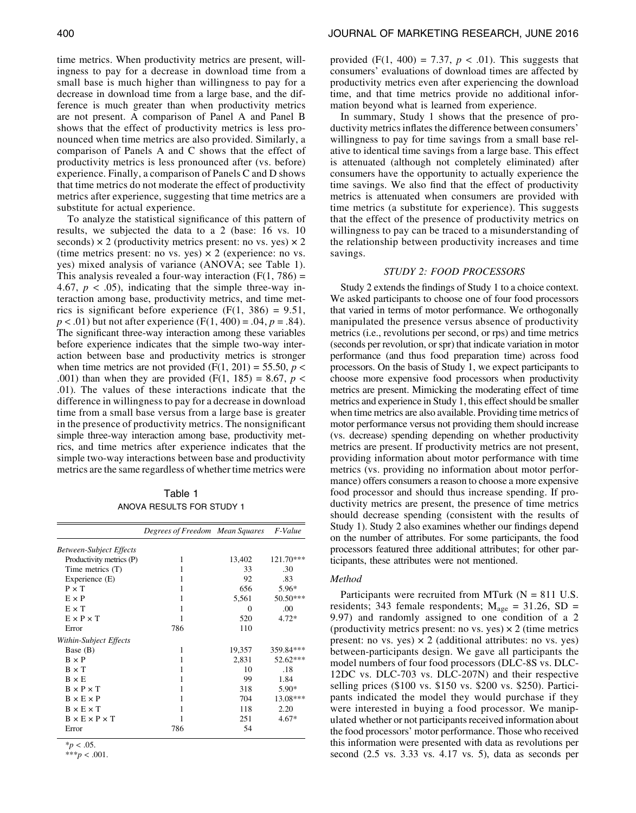time metrics. When productivity metrics are present, willingness to pay for a decrease in download time from a small base is much higher than willingness to pay for a decrease in download time from a large base, and the difference is much greater than when productivity metrics are not present. A comparison of Panel A and Panel B shows that the effect of productivity metrics is less pronounced when time metrics are also provided. Similarly, a comparison of Panels A and C shows that the effect of productivity metrics is less pronounced after (vs. before) experience. Finally, a comparison of Panels C and D shows that time metrics do not moderate the effect of productivity metrics after experience, suggesting that time metrics are a substitute for actual experience.

To analyze the statistical significance of this pattern of results, we subjected the data to a 2 (base: 16 vs. 10 seconds)  $\times$  2 (productivity metrics present: no vs. yes)  $\times$  2 (time metrics present: no vs. yes)  $\times$  2 (experience: no vs. yes) mixed analysis of variance (ANOVA; see Table 1). This analysis revealed a four-way interaction  $(F(1, 786))$  = 4.67,  $p < .05$ ), indicating that the simple three-way interaction among base, productivity metrics, and time metrics is significant before experience  $(F(1, 386) = 9.51,$  $p < .01$ ) but not after experience (F(1, 400) = .04,  $p = .84$ ). The significant three-way interaction among these variables before experience indicates that the simple two-way interaction between base and productivity metrics is stronger when time metrics are not provided (F(1, 201) = 55.50,  $p <$ .001) than when they are provided (F(1, 185) = 8.67,  $p <$ .01). The values of these interactions indicate that the difference in willingness to pay for a decrease in download time from a small base versus from a large base is greater in the presence of productivity metrics. The nonsignificant simple three-way interaction among base, productivity metrics, and time metrics after experience indicates that the simple two-way interactions between base and productivity metrics are the same regardless of whether time metrics were

Table 1 ANOVA RESULTS FOR STUDY 1

|                                | Degrees of Freedom Mean Squares |          | F-Value   |
|--------------------------------|---------------------------------|----------|-----------|
| <b>Between-Subject Effects</b> |                                 |          |           |
| Productivity metrics (P)       | 1                               | 13,402   | 121.70*** |
| Time metrics (T)               | 1                               | 33       | .30       |
| Experience (E)                 |                                 | 92       | .83       |
| $P \times T$                   | 1                               | 656      | 5.96*     |
| $E \times P$                   | 1                               | 5,561    | 50.50***  |
| $E \times T$                   | 1                               | $\Omega$ | .00       |
| $E \times P \times T$          |                                 | 520      | $4.72*$   |
| Error                          | 786                             | 110      |           |
| Within-Subject Effects         |                                 |          |           |
| Base (B)                       | 1                               | 19,357   | 359.84*** |
| $B \times P$                   | 1                               | 2,831    | 52.62***  |
| $B \times T$                   | 1                               | 10       | .18       |
| $B \times E$                   | 1                               | 99       | 1.84      |
| $B \times P \times T$          | 1                               | 318      | 5.90*     |
| $B \times E \times P$          | 1                               | 704      | 13.08***  |
| $B \times E \times T$          | 1                               | 118      | 2.20      |
| $B \times E \times P \times T$ |                                 | 251      | $4.67*$   |
| Error                          | 786                             | 54       |           |

 $*_{p}$  < .05. \*\*\* $p < .001$ . provided (F(1, 400) = 7.37,  $p < .01$ ). This suggests that consumers' evaluations of download times are affected by productivity metrics even after experiencing the download time, and that time metrics provide no additional information beyond what is learned from experience.

In summary, Study 1 shows that the presence of productivity metrics inflates the difference between consumers' willingness to pay for time savings from a small base relative to identical time savings from a large base. This effect is attenuated (although not completely eliminated) after consumers have the opportunity to actually experience the time savings. We also find that the effect of productivity metrics is attenuated when consumers are provided with time metrics (a substitute for experience). This suggests that the effect of the presence of productivity metrics on willingness to pay can be traced to a misunderstanding of the relationship between productivity increases and time savings.

# STUDY 2: FOOD PROCESSORS

Study 2 extends the findings of Study 1 to a choice context. We asked participants to choose one of four food processors that varied in terms of motor performance. We orthogonally manipulated the presence versus absence of productivity metrics (i.e., revolutions per second, or rps) and time metrics (seconds per revolution, or spr) that indicate variation in motor performance (and thus food preparation time) across food processors. On the basis of Study 1, we expect participants to choose more expensive food processors when productivity metrics are present. Mimicking the moderating effect of time metrics and experience in Study 1, this effect should be smaller when time metrics are also available. Providing time metrics of motor performance versus not providing them should increase (vs. decrease) spending depending on whether productivity metrics are present. If productivity metrics are not present, providing information about motor performance with time metrics (vs. providing no information about motor performance) offers consumers a reason to choose a more expensive food processor and should thus increase spending. If productivity metrics are present, the presence of time metrics should decrease spending (consistent with the results of Study 1). Study 2 also examines whether our findings depend on the number of attributes. For some participants, the food processors featured three additional attributes; for other participants, these attributes were not mentioned.

#### Method

Participants were recruited from MTurk  $(N = 811 \text{ U.S.})$ residents; 343 female respondents;  $M_{\text{age}} = 31.26$ , SD = 9.97) and randomly assigned to one condition of a 2 (productivity metrics present: no vs. yes)  $\times$  2 (time metrics present: no vs. yes)  $\times$  2 (additional attributes: no vs. yes) between-participants design. We gave all participants the model numbers of four food processors (DLC-8S vs. DLC-12DC vs. DLC-703 vs. DLC-207N) and their respective selling prices (\$100 vs. \$150 vs. \$200 vs. \$250). Participants indicated the model they would purchase if they were interested in buying a food processor. We manipulated whether or not participants received information about the food processors' motor performance. Those who received this information were presented with data as revolutions per second (2.5 vs. 3.33 vs. 4.17 vs. 5), data as seconds per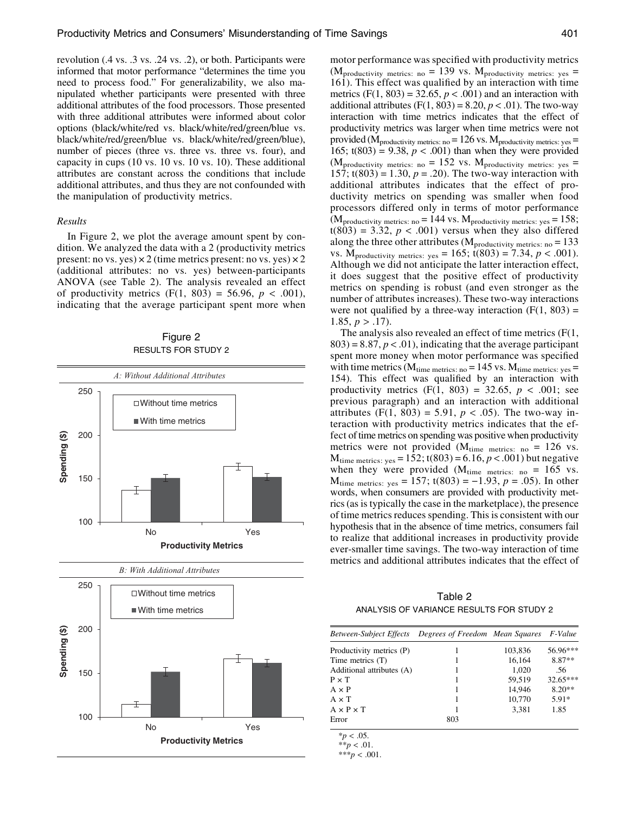revolution (.4 vs. .3 vs. .24 vs. .2), or both. Participants were informed that motor performance "determines the time you need to process food." For generalizability, we also manipulated whether participants were presented with three additional attributes of the food processors. Those presented with three additional attributes were informed about color options (black/white/red vs. black/white/red/green/blue vs. black/white/red/green/blue vs. black/white/red/green/blue), number of pieces (three vs. three vs. three vs. four), and capacity in cups (10 vs. 10 vs. 10 vs. 10). These additional attributes are constant across the conditions that include additional attributes, and thus they are not confounded with the manipulation of productivity metrics.

#### Results

In Figure 2, we plot the average amount spent by condition. We analyzed the data with a 2 (productivity metrics present: no vs. yes)  $\times$  2 (time metrics present: no vs. yes)  $\times$  2 (additional attributes: no vs. yes) between-participants ANOVA (see Table 2). The analysis revealed an effect of productivity metrics  $(F(1, 803) = 56.96, p < .001)$ , indicating that the average participant spent more when

|               |     | RESULTS FOR STUDY 2              |     |  |
|---------------|-----|----------------------------------|-----|--|
|               |     | A: Without Additional Attributes |     |  |
|               | 250 |                                  |     |  |
|               |     | $\Box$ Without time metrics      |     |  |
|               |     | ■ With time metrics              |     |  |
| Spending (\$) | 200 |                                  |     |  |
|               | 150 | I                                | Ŧ   |  |
|               | 100 | No                               | Yes |  |
|               |     | <b>Productivity Metrics</b>      |     |  |





motor performance was specified with productivity metrics (M<sub>productivity metrics: no</sub> = 139 vs. M<sub>productivity metrics: yes</sub> =

161). This effect was qualified by an interaction with time metrics  $(F(1, 803) = 32.65, p < .001)$  and an interaction with additional attributes (F(1, 803) = 8.20,  $p < .01$ ). The two-way interaction with time metrics indicates that the effect of productivity metrics was larger when time metrics were not provided ( $M_{\text{productivity metrics: no}} = 126$  vs.  $M_{\text{productivity metrics: yes}} =$ 165;  $t(803) = 9.38$ ,  $p < .001$ ) than when they were provided (M<sub>productivity metrics: no</sub> = 152 vs. M<sub>productivity metrics: yes</sub> = 157;  $t(803) = 1.30, p = .20$ . The two-way interaction with additional attributes indicates that the effect of productivity metrics on spending was smaller when food processors differed only in terms of motor performance  $(M_{\text{productivity metrics: no}} = 144 \text{ vs. } M_{\text{productivity metrics: yes}} = 158;$  $t(803) = 3.32, p < .001$ ) versus when they also differed along the three other attributes ( $M_{\text{productivity}}$  metrics: no = 133 vs.  $M_{\text{productivity metrics: yes}} = 165$ ;  $t(803) = 7.34, p < .001$ ). Although we did not anticipate the latter interaction effect, it does suggest that the positive effect of productivity metrics on spending is robust (and even stronger as the number of attributes increases). These two-way interactions were not qualified by a three-way interaction  $(F(1, 803)) =$ 1.85,  $p > .17$ ).

The analysis also revealed an effect of time metrics (F(1,  $803$ ) = 8.87,  $p < .01$ ), indicating that the average participant spent more money when motor performance was specified with time metrics ( $M_{time \text{ metrics: no}} = 145 \text{ vs. } M_{time \text{ metrics: yes}} =$ 154). This effect was qualified by an interaction with productivity metrics  $(F(1, 803) = 32.65, p < .001;$  see previous paragraph) and an interaction with additional attributes (F(1, 803) = 5.91,  $p < .05$ ). The two-way interaction with productivity metrics indicates that the effect of time metrics on spending was positive when productivity metrics were not provided ( $M_{time \text{ metrics: no}} = 126$  vs.  $M_{time \text{ metrics: yes}} = 152$ ; t(803) = 6.16,  $p < .001$ ) but negative when they were provided  $(M_{time \text{ metrics: no}} = 165 \text{ vs.})$  $M_{time \text{ metrics: yes}} = 157$ ; t(803) = -1.93,  $p = .05$ ). In other words, when consumers are provided with productivity metrics (as is typically the case in the marketplace), the presence of time metrics reduces spending. This is consistent with our hypothesis that in the absence of time metrics, consumers fail to realize that additional increases in productivity provide ever-smaller time savings. The two-way interaction of time metrics and additional attributes indicates that the effect of

Table 2 ANALYSIS OF VARIANCE RESULTS FOR STUDY 2

| Between-Subject Effects Degrees of Freedom Mean Squares F-Value |     |         |            |  |
|-----------------------------------------------------------------|-----|---------|------------|--|
| Productivity metrics (P)                                        |     | 103,836 | 56.96***   |  |
| Time metrics (T)                                                |     | 16,164  | 8.87**     |  |
| Additional attributes (A)                                       |     | 1,020   | .56        |  |
| $P \times T$                                                    |     | 59.519  | $32.65***$ |  |
| $A \times P$                                                    |     | 14.946  | $8.20**$   |  |
| $A \times T$                                                    | 1   | 10.770  | $5.91*$    |  |
| $A \times P \times T$                                           |     | 3.381   | 1.85       |  |
| Error                                                           | 803 |         |            |  |

 $*_{p}$  < .05.

\*\* $p < .01$ .

\*\*\* $p < .001$ .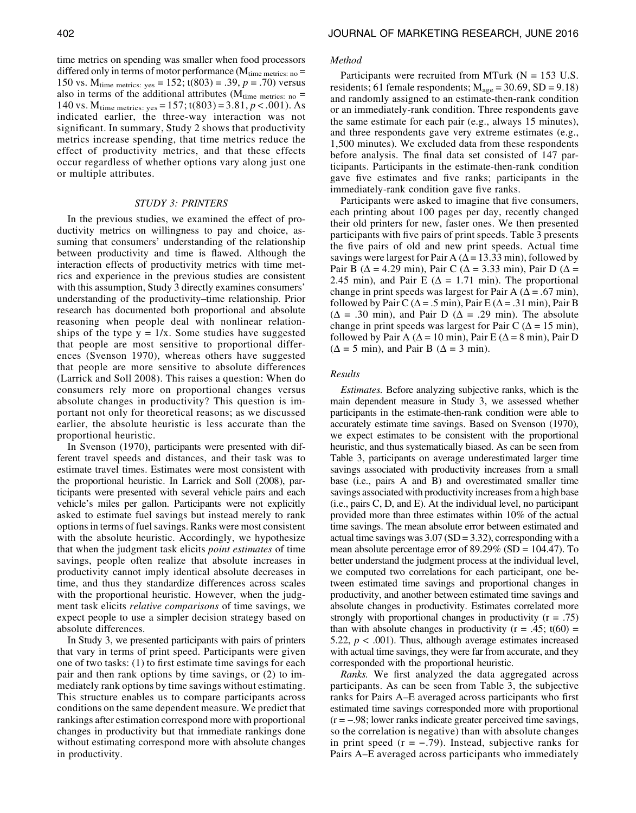time metrics on spending was smaller when food processors differed only in terms of motor performance  $(M_{time \text{ metrics: no}} =$ 150 vs.  $M_{time \text{ metrics: yes}} = 152$ ;  $t(803) = .39$ ,  $p = .70$ ) versus also in terms of the additional attributes ( $M_{time \text{ metrics: no}} =$ 140 vs.  $M_{time \text{ metrics: yes}} = 157$ ; t(803) = 3.81,  $p < .001$ ). As indicated earlier, the three-way interaction was not significant. In summary, Study 2 shows that productivity metrics increase spending, that time metrics reduce the effect of productivity metrics, and that these effects occur regardless of whether options vary along just one or multiple attributes.

### STUDY 3: PRINTERS

In the previous studies, we examined the effect of productivity metrics on willingness to pay and choice, assuming that consumers' understanding of the relationship between productivity and time is flawed. Although the interaction effects of productivity metrics with time metrics and experience in the previous studies are consistent with this assumption, Study 3 directly examines consumers' understanding of the productivity–time relationship. Prior research has documented both proportional and absolute reasoning when people deal with nonlinear relationships of the type  $y = 1/x$ . Some studies have suggested that people are most sensitive to proportional differences (Svenson 1970), whereas others have suggested that people are more sensitive to absolute differences (Larrick and Soll 2008). This raises a question: When do consumers rely more on proportional changes versus absolute changes in productivity? This question is important not only for theoretical reasons; as we discussed earlier, the absolute heuristic is less accurate than the proportional heuristic.

In Svenson (1970), participants were presented with different travel speeds and distances, and their task was to estimate travel times. Estimates were most consistent with the proportional heuristic. In Larrick and Soll (2008), participants were presented with several vehicle pairs and each vehicle's miles per gallon. Participants were not explicitly asked to estimate fuel savings but instead merely to rank options in terms of fuel savings. Ranks were most consistent with the absolute heuristic. Accordingly, we hypothesize that when the judgment task elicits point estimates of time savings, people often realize that absolute increases in productivity cannot imply identical absolute decreases in time, and thus they standardize differences across scales with the proportional heuristic. However, when the judgment task elicits relative comparisons of time savings, we expect people to use a simpler decision strategy based on absolute differences.

In Study 3, we presented participants with pairs of printers that vary in terms of print speed. Participants were given one of two tasks: (1) to first estimate time savings for each pair and then rank options by time savings, or (2) to immediately rank options by time savings without estimating. This structure enables us to compare participants across conditions on the same dependent measure. We predict that rankings after estimation correspond more with proportional changes in productivity but that immediate rankings done without estimating correspond more with absolute changes in productivity.

#### Method

Participants were recruited from MTurk  $(N = 153 \text{ U.S.})$ residents; 61 female respondents;  $M_{\text{age}} = 30.69$ , SD = 9.18) and randomly assigned to an estimate-then-rank condition or an immediately-rank condition. Three respondents gave the same estimate for each pair (e.g., always 15 minutes), and three respondents gave very extreme estimates (e.g., 1,500 minutes). We excluded data from these respondents before analysis. The final data set consisted of 147 participants. Participants in the estimate-then-rank condition gave five estimates and five ranks; participants in the immediately-rank condition gave five ranks.

Participants were asked to imagine that five consumers, each printing about 100 pages per day, recently changed their old printers for new, faster ones. We then presented participants with five pairs of print speeds. Table 3 presents the five pairs of old and new print speeds. Actual time savings were largest for Pair A ( $\Delta$  = 13.33 min), followed by Pair B ( $\Delta$  = 4.29 min), Pair C ( $\Delta$  = 3.33 min), Pair D ( $\Delta$  = 2.45 min), and Pair E ( $\Delta$  = 1.71 min). The proportional change in print speeds was largest for Pair A ( $\Delta$  = .67 min), followed by Pair C ( $\Delta$  = .5 min), Pair E ( $\Delta$  = .31 min), Pair B  $(\Delta = .30 \text{ min})$ , and Pair D ( $\Delta = .29 \text{ min}$ ). The absolute change in print speeds was largest for Pair C ( $\Delta$  = 15 min), followed by Pair A ( $\Delta = 10$  min), Pair E ( $\Delta = 8$  min), Pair D  $(\Delta = 5 \text{ min})$ , and Pair B  $(\Delta = 3 \text{ min})$ .

# Results

Estimates. Before analyzing subjective ranks, which is the main dependent measure in Study 3, we assessed whether participants in the estimate-then-rank condition were able to accurately estimate time savings. Based on Svenson (1970), we expect estimates to be consistent with the proportional heuristic, and thus systematically biased. As can be seen from Table 3, participants on average underestimated larger time savings associated with productivity increases from a small base (i.e., pairs A and B) and overestimated smaller time savings associated with productivity increases from a high base (i.e., pairs C, D, and E). At the individual level, no participant provided more than three estimates within 10% of the actual time savings. The mean absolute error between estimated and actual time savings was  $3.07$  (SD =  $3.32$ ), corresponding with a mean absolute percentage error of 89.29% (SD = 104.47). To better understand the judgment process at the individual level, we computed two correlations for each participant, one between estimated time savings and proportional changes in productivity, and another between estimated time savings and absolute changes in productivity. Estimates correlated more strongly with proportional changes in productivity  $(r = .75)$ than with absolute changes in productivity ( $r = .45$ ; t(60) = 5.22,  $p < .001$ ). Thus, although average estimates increased with actual time savings, they were far from accurate, and they corresponded with the proportional heuristic.

Ranks. We first analyzed the data aggregated across participants. As can be seen from Table 3, the subjective ranks for Pairs A–E averaged across participants who first estimated time savings corresponded more with proportional participants. As can be seen from Table 3, the subjective ranks for Pairs A–E averaged across participants who first estimated time savings corresponded more with proportional  $(r = -.98)$ , lower ranks indicate greater percei so the correlation is negative) than with absolute changes estimated time savings corresponded more with proportional  $(r = -.98)$ ; lower ranks indicate greater perceived time savings, so the correlation is negative) than with absolute changes in print speed  $(r = -.79)$ . Instead, subjec Pairs A–E averaged across participants who immediately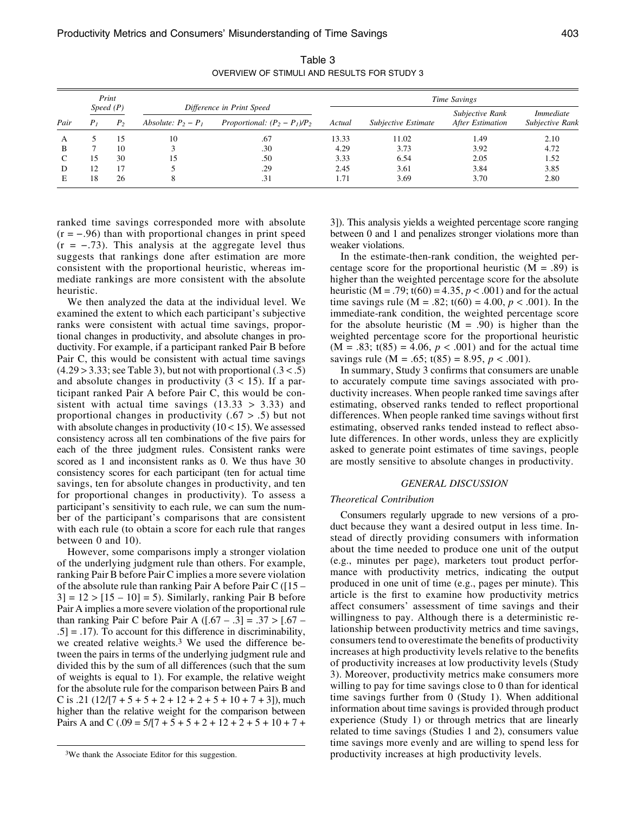|      | Print<br>Speed(P) |                |                       | Difference in Print Speed       |        | Time Savings        |                                     |                                     |  |
|------|-------------------|----------------|-----------------------|---------------------------------|--------|---------------------|-------------------------------------|-------------------------------------|--|
| Pair | P <sub>I</sub>    | P <sub>2</sub> | Absolute: $P_2 - P_1$ | Proportional: $(P_2 - P_1)/P_2$ | Actual | Subjective Estimate | Subjective Rank<br>After Estimation | <i>Immediate</i><br>Subjective Rank |  |
| А    |                   | 15             | 10                    | .67                             | 13.33  | 11.02               | 1.49                                | 2.10                                |  |
| B    |                   | 10             |                       | .30                             | 4.29   | 3.73                | 3.92                                | 4.72                                |  |
|      | 15                | 30             |                       | .50                             | 3.33   | 6.54                | 2.05                                | 1.52                                |  |
| D    | 12                |                |                       | .29                             | 2.45   | 3.61                | 3.84                                | 3.85                                |  |
|      | 18                | 26             | 8                     | .31                             | 1.71   | 3.69                | 3.70                                | 2.80                                |  |

Table 3 OVERVIEW OF STIMULI AND RESULTS FOR STUDY 3

ranked time savings corresponded more with absolute  $(r = -.96)$  than with proportional changes in print speed  $(r = -.73)$ . This analysis at the aggregate level thus suggests that rankings done after estimation are more consistent with the proportional heuristic, whereas immediate rankings are more consistent with the absolute heuristic.

We then analyzed the data at the individual level. We examined the extent to which each participant's subjective ranks were consistent with actual time savings, proportional changes in productivity, and absolute changes in productivity. For example, if a participant ranked Pair B before Pair C, this would be consistent with actual time savings  $(4.29 > 3.33;$  see Table 3), but not with proportional  $(0.3 < 0.5)$ and absolute changes in productivity  $(3 < 15)$ . If a participant ranked Pair A before Pair C, this would be consistent with actual time savings  $(13.33 > 3.33)$  and proportional changes in productivity (.67 > .5) but not with absolute changes in productivity  $(10<15)$ . We assessed consistency across all ten combinations of the five pairs for each of the three judgment rules. Consistent ranks were scored as 1 and inconsistent ranks as 0. We thus have 30 consistency scores for each participant (ten for actual time savings, ten for absolute changes in productivity, and ten for proportional changes in productivity). To assess a participant's sensitivity to each rule, we can sum the number of the participant's comparisons that are consistent with each rule (to obtain a score for each rule that ranges between 0 and 10).

However, some comparisons imply a stronger violation of the underlying judgment rule than others. For example, ranking Pair B before Pair C implies a more severe violation of the absolute rule than ranking Pair A before Pair C ([15 –  $3$ ] = 12 > [15 – 10] = 5). Similarly, ranking Pair B before Pair A implies a more severe violation of the proportional rule than ranking Pair C before Pair A  $([-67 - .3] = .37 > [.67 - ]$  $.5$ ] =  $.17$ ). To account for this difference in discriminability, we created relative weights.3 We used the difference between the pairs in terms of the underlying judgment rule and divided this by the sum of all differences (such that the sum of weights is equal to 1). For example, the relative weight for the absolute rule for the comparison between Pairs B and C is .21 ( $12/[7 + 5 + 5 + 2 + 12 + 2 + 5 + 10 + 7 + 3]$ ), much higher than the relative weight for the comparison between Pairs A and C (.09 =  $5/[7 + 5 + 5 + 2 + 12 + 2 + 5 + 10 + 7 +$ 

3]). This analysis yields a weighted percentage score ranging between 0 and 1 and penalizes stronger violations more than weaker violations.

In the estimate-then-rank condition, the weighted percentage score for the proportional heuristic  $(M = .89)$  is higher than the weighted percentage score for the absolute heuristic (M = .79; t(60) = 4.35,  $p < .001$ ) and for the actual time savings rule (M = .82; t(60) = 4.00,  $p < .001$ ). In the immediate-rank condition, the weighted percentage score for the absolute heuristic  $(M = .90)$  is higher than the weighted percentage score for the proportional heuristic  $(M = .83; t(85) = 4.06, p < .001)$  and for the actual time savings rule (M = .65;  $t(85) = 8.95, p < .001$ ).

In summary, Study 3 confirms that consumers are unable to accurately compute time savings associated with productivity increases. When people ranked time savings after estimating, observed ranks tended to reflect proportional differences. When people ranked time savings without first estimating, observed ranks tended instead to reflect absolute differences. In other words, unless they are explicitly asked to generate point estimates of time savings, people are mostly sensitive to absolute changes in productivity.

#### GENERAL DISCUSSION

# Theoretical Contribution

Consumers regularly upgrade to new versions of a product because they want a desired output in less time. Instead of directly providing consumers with information about the time needed to produce one unit of the output (e.g., minutes per page), marketers tout product performance with productivity metrics, indicating the output produced in one unit of time (e.g., pages per minute). This article is the first to examine how productivity metrics affect consumers' assessment of time savings and their willingness to pay. Although there is a deterministic relationship between productivity metrics and time savings, consumers tend to overestimate the benefits of productivity increases at high productivity levels relative to the benefits of productivity increases at low productivity levels (Study 3). Moreover, productivity metrics make consumers more willing to pay for time savings close to 0 than for identical time savings further from 0 (Study 1). When additional information about time savings is provided through product experience (Study 1) or through metrics that are linearly related to time savings (Studies 1 and 2), consumers value time savings more evenly and are willing to spend less for productivity increases at high productivity levels.

<sup>3</sup>We thank the Associate Editor for this suggestion.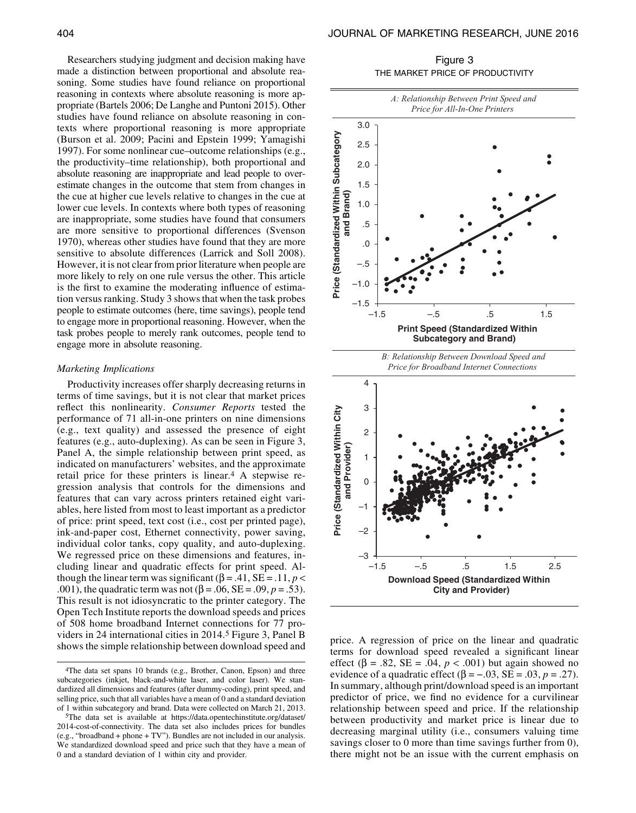Researchers studying judgment and decision making have made a distinction between proportional and absolute reasoning. Some studies have found reliance on proportional reasoning in contexts where absolute reasoning is more appropriate (Bartels 2006; De Langhe and Puntoni 2015). Other studies have found reliance on absolute reasoning in contexts where proportional reasoning is more appropriate (Burson et al. 2009; Pacini and Epstein 1999; Yamagishi 1997). For some nonlinear cue–outcome relationships (e.g., the productivity–time relationship), both proportional and absolute reasoning are inappropriate and lead people to overestimate changes in the outcome that stem from changes in the cue at higher cue levels relative to changes in the cue at lower cue levels. In contexts where both types of reasoning are inappropriate, some studies have found that consumers are more sensitive to proportional differences (Svenson 1970), whereas other studies have found that they are more sensitive to absolute differences (Larrick and Soll 2008). However, it is not clear from prior literature when people are more likely to rely on one rule versus the other. This article is the first to examine the moderating influence of estimation versus ranking. Study 3 shows that when the task probes people to estimate outcomes (here, time savings), people tend to engage more in proportional reasoning. However, when the task probes people to merely rank outcomes, people tend to engage more in absolute reasoning.

# Marketing Implications

Productivity increases offer sharply decreasing returns in terms of time savings, but it is not clear that market prices reflect this nonlinearity. Consumer Reports tested the performance of 71 all-in-one printers on nine dimensions (e.g., text quality) and assessed the presence of eight features (e.g., auto-duplexing). As can be seen in Figure 3, Panel A, the simple relationship between print speed, as indicated on manufacturers' websites, and the approximate retail price for these printers is linear.4 A stepwise regression analysis that controls for the dimensions and features that can vary across printers retained eight variables, here listed from most to least important as a predictor of price: print speed, text cost (i.e., cost per printed page), ink-and-paper cost, Ethernet connectivity, power saving, individual color tanks, copy quality, and auto-duplexing. We regressed price on these dimensions and features, including linear and quadratic effects for print speed. Although the linear term was significant ( $\beta$  = .41, SE = .11, p < .001), the quadratic term was not  $(\beta = .06, SE = .09, p = .53)$ . This result is not idiosyncratic to the printer category. The Open Tech Institute reports the download speeds and prices of 508 home broadband Internet connections for 77 providers in 24 international cities in 2014.5 Figure 3, Panel B shows the simple relationship between download speed and

Figure 3 THE MARKET PRICE OF PRODUCTIVITY



terms for download speed revealed a significant linear effect ( $\beta$  = .82, SE = .04,  $p < .001$ ) but again showed no price. A regression of price on the linear and quadratic terms for download speed revealed a significant linear effect (β = .82, SE = .04, *p* < .001) but again showed no evidence of a quadratic effect (β = -.03, SE = . In summary, although print/download speed is an important predictor of price, we find no evidence for a curvilinear relationship between speed and price. If the relationship between productivity and market price is linear due to decreasing marginal utility (i.e., consumers valuing time savings closer to 0 more than time savings further from 0), there might not be an issue with the current emphasis on

<sup>4</sup>The data set spans 10 brands (e.g., Brother, Canon, Epson) and three subcategories (inkjet, black-and-white laser, and color laser). We standardized all dimensions and features (after dummy-coding), print speed, and selling price, such that all variables have a mean of 0 and a standard deviation of 1 within subcategory and brand. Data were collected on March 21, 2013.

<sup>5</sup>The data set is available at [https://data.opentechinstitute.org/dataset/](https://data.opentechinstitute.org/dataset/2014-cost-of-connectivity) [2014-cost-of-connectivity.](https://data.opentechinstitute.org/dataset/2014-cost-of-connectivity) The data set also includes prices for bundles (e.g., "broadband + phone + TV"). Bundles are not included in our analysis. We standardized download speed and price such that they have a mean of 0 and a standard deviation of 1 within city and provider.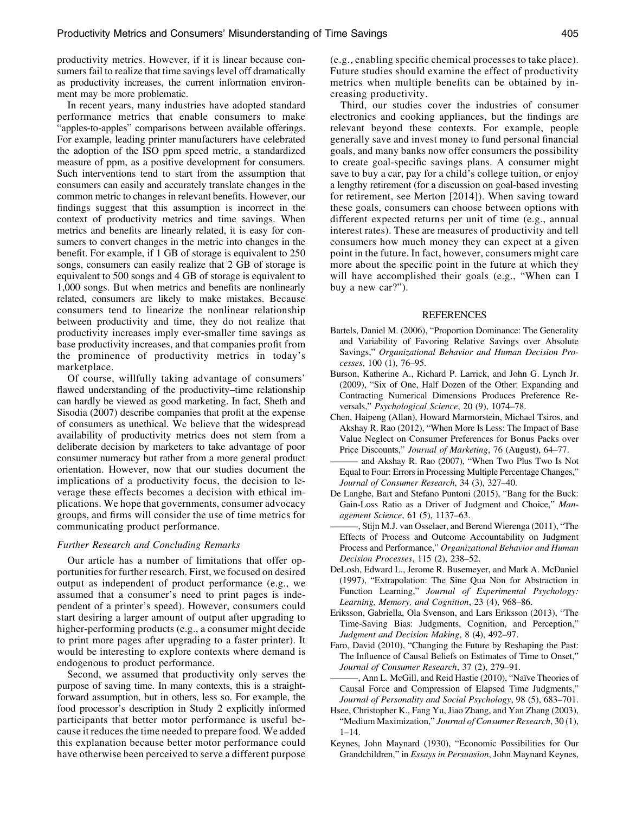productivity metrics. However, if it is linear because consumers fail to realize that time savings level off dramatically as productivity increases, the current information environment may be more problematic.

In recent years, many industries have adopted standard performance metrics that enable consumers to make "apples-to-apples" comparisons between available offerings. For example, leading printer manufacturers have celebrated the adoption of the ISO ppm speed metric, a standardized measure of ppm, as a positive development for consumers. Such interventions tend to start from the assumption that consumers can easily and accurately translate changes in the common metric to changes in relevant benefits. However, our findings suggest that this assumption is incorrect in the context of productivity metrics and time savings. When metrics and benefits are linearly related, it is easy for consumers to convert changes in the metric into changes in the benefit. For example, if 1 GB of storage is equivalent to 250 songs, consumers can easily realize that 2 GB of storage is equivalent to 500 songs and 4 GB of storage is equivalent to 1,000 songs. But when metrics and benefits are nonlinearly related, consumers are likely to make mistakes. Because consumers tend to linearize the nonlinear relationship between productivity and time, they do not realize that productivity increases imply ever-smaller time savings as base productivity increases, and that companies profit from the prominence of productivity metrics in today's marketplace.

Of course, willfully taking advantage of consumers' flawed understanding of the productivity–time relationship can hardly be viewed as good marketing. In fact, Sheth and Sisodia (2007) describe companies that profit at the expense of consumers as unethical. We believe that the widespread availability of productivity metrics does not stem from a deliberate decision by marketers to take advantage of poor consumer numeracy but rather from a more general product orientation. However, now that our studies document the implications of a productivity focus, the decision to leverage these effects becomes a decision with ethical implications. We hope that governments, consumer advocacy groups, and firms will consider the use of time metrics for communicating product performance.

#### Further Research and Concluding Remarks

Our article has a number of limitations that offer opportunities for further research. First, we focused on desired output as independent of product performance (e.g., we assumed that a consumer's need to print pages is independent of a printer's speed). However, consumers could start desiring a larger amount of output after upgrading to higher-performing products (e.g., a consumer might decide to print more pages after upgrading to a faster printer). It would be interesting to explore contexts where demand is endogenous to product performance.

Second, we assumed that productivity only serves the purpose of saving time. In many contexts, this is a straightforward assumption, but in others, less so. For example, the food processor's description in Study 2 explicitly informed participants that better motor performance is useful because it reduces the time needed to prepare food. We added this explanation because better motor performance could have otherwise been perceived to serve a different purpose

(e.g., enabling specific chemical processes to take place). Future studies should examine the effect of productivity metrics when multiple benefits can be obtained by increasing productivity.

Third, our studies cover the industries of consumer electronics and cooking appliances, but the findings are relevant beyond these contexts. For example, people generally save and invest money to fund personal financial goals, and many banks now offer consumers the possibility to create goal-specific savings plans. A consumer might save to buy a car, pay for a child's college tuition, or enjoy a lengthy retirement (for a discussion on goal-based investing for retirement, see Merton [2014]). When saving toward these goals, consumers can choose between options with different expected returns per unit of time (e.g., annual interest rates). These are measures of productivity and tell consumers how much money they can expect at a given point in the future. In fact, however, consumers might care more about the specific point in the future at which they will have accomplished their goals (e.g., "When can I buy a new car?").

#### REFERENCES

- Bartels, Daniel M. (2006), "Proportion Dominance: The Generality and Variability of Favoring Relative Savings over Absolute Savings," Organizational Behavior and Human Decision Processes, 100 (1), 76–95.
- Burson, Katherine A., Richard P. Larrick, and John G. Lynch Jr. (2009), "Six of One, Half Dozen of the Other: Expanding and Contracting Numerical Dimensions Produces Preference Reversals," Psychological Science, 20 (9), 1074–78.
- Chen, Haipeng (Allan), Howard Marmorstein, Michael Tsiros, and Akshay R. Rao (2012), "When More Is Less: The Impact of Base Value Neglect on Consumer Preferences for Bonus Packs over Price Discounts," Journal of Marketing, 76 (August), 64–77.
- and Akshay R. Rao (2007), "When Two Plus Two Is Not Equal to Four: Errors in Processing Multiple Percentage Changes," Journal of Consumer Research, 34 (3), 327–40.
- De Langhe, Bart and Stefano Puntoni (2015), "Bang for the Buck: Gain-Loss Ratio as a Driver of Judgment and Choice," Management Science, 61 (5), 1137–63.
- ———, Stijn M.J. van Osselaer, and Berend Wierenga (2011), "The Effects of Process and Outcome Accountability on Judgment Process and Performance," Organizational Behavior and Human Decision Processes, 115 (2), 238–52.
- DeLosh, Edward L., Jerome R. Busemeyer, and Mark A. McDaniel (1997), "Extrapolation: The Sine Qua Non for Abstraction in Function Learning," Journal of Experimental Psychology: Learning, Memory, and Cognition, 23 (4), 968–86.
- Eriksson, Gabriella, Ola Svenson, and Lars Eriksson (2013), "The Time-Saving Bias: Judgments, Cognition, and Perception," Judgment and Decision Making, 8 (4), 492–97.
- Faro, David (2010), "Changing the Future by Reshaping the Past: The Influence of Causal Beliefs on Estimates of Time to Onset," Journal of Consumer Research, 37 (2), 279–91.
- ———, Ann L. McGill, and Reid Hastie (2010), "Na¨ıve Theories of Causal Force and Compression of Elapsed Time Judgments," Journal of Personality and Social Psychology, 98 (5), 683–701.
- Hsee, Christopher K., Fang Yu, Jiao Zhang, and Yan Zhang (2003), "Medium Maximization," Journal of Consumer Research, 30(1),  $1 - 14$
- Keynes, John Maynard (1930), "Economic Possibilities for Our Grandchildren," in Essays in Persuasion, John Maynard Keynes,